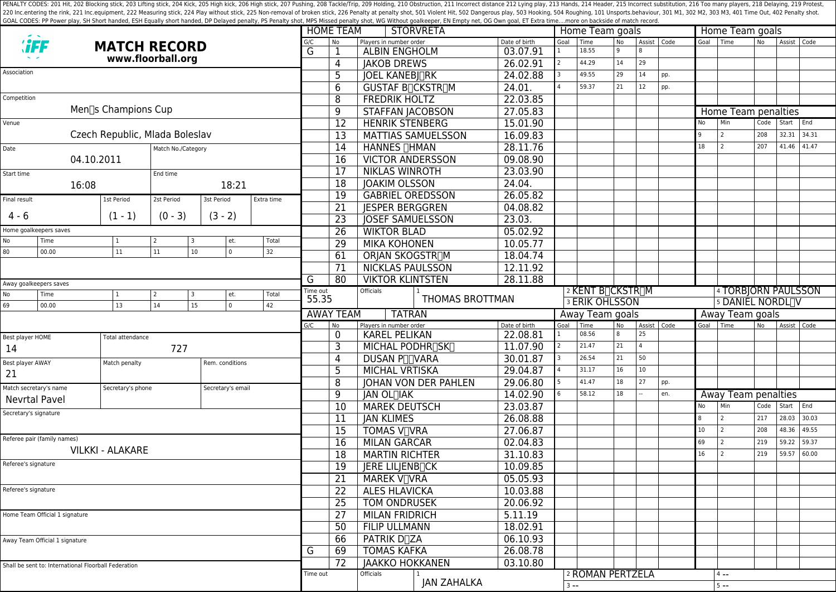PENALTY CODES: 201 Hit, 202 Blocking stick, 203 Lifting stick, 203 Kick, 205 High kick, 205 High kick, 205 High stick, 206 High stick, 207 Pushing, 208 Tackle/Trip, 209 Holding, 210 Obstruction, 211 Incorrect distance 212 220 Inc.entering the rink, 221 Inc.equipment, 222 Measuring stick, 224 Play without stick, 225 Non-removal of broken stick, 225 Poralty shot, 501 Violent Hit, 502 Dangerous play, 503 Hooking, 504 Roughing, 101 Unsports.beh GOAL CODES: PP Power play, SH Short handed, ESH Equally short handed, DP Delayed penalty, PS Penalty shot, MPS Missed penalty shot, WG Without goalkeeper, EN Empty net, OG Own goal, ET Extra time....more on backside of mat

|                                                      |                                      |                     |                          |                   |                |                         |                               | <b>HOME TEAM</b><br><b>STORVRETA</b> |                               |               |                                                                    |                  | Home Team goals |               | Home Team goals |           |                                                |           |                 |       |  |  |  |  |
|------------------------------------------------------|--------------------------------------|---------------------|--------------------------|-------------------|----------------|-------------------------|-------------------------------|--------------------------------------|-------------------------------|---------------|--------------------------------------------------------------------|------------------|-----------------|---------------|-----------------|-----------|------------------------------------------------|-----------|-----------------|-------|--|--|--|--|
| <b><i>`iFF</i></b>                                   |                                      | <b>MATCH RECORD</b> |                          |                   |                |                         |                               | No                                   | Players in number order       | Date of birth | Goal                                                               | Time             | <b>No</b>       |               | Assist   Code   | Goal Time |                                                | No        | Assist Code     |       |  |  |  |  |
|                                                      |                                      | www.floorball.org   |                          |                   |                |                         |                               | 1                                    | <b>ALBIN ENGHOLM</b>          | 03.07.91      | $\mathbf{1}$                                                       | 18.55            | 9               |               |                 |           |                                                |           |                 |       |  |  |  |  |
|                                                      |                                      |                     |                          |                   |                |                         |                               | 4                                    | <b>JAKOB DREWS</b>            | 26.02.91      | $\overline{2}$                                                     | 44.29            | 14              | 29            |                 |           |                                                |           |                 |       |  |  |  |  |
| Association                                          |                                      |                     |                          |                   |                |                         |                               | 5                                    | <b>JOEL KANEBJ∏RK</b>         | 24.02.88      |                                                                    | 49.55            | 29              | 14            | pp.             |           |                                                |           |                 |       |  |  |  |  |
|                                                      |                                      |                     |                          |                   |                |                         |                               | $\overline{6}$                       | <b>GUSTAF BICKSTRIM</b>       | 24.01         |                                                                    | 59.37            | 21              | 12            | pp.             |           |                                                |           |                 |       |  |  |  |  |
| Competition                                          |                                      |                     |                          |                   |                |                         |                               | 8                                    | <b>FREDRIK HOLTZ</b>          | 22.03.85      |                                                                    |                  |                 |               |                 |           |                                                |           |                 |       |  |  |  |  |
|                                                      |                                      | Men∏s Champions Cup |                          |                   |                |                         |                               | 9                                    | <b>STAFFAN JACOBSON</b>       | 27.05.83      |                                                                    |                  |                 |               |                 |           | Home Team penalties                            |           |                 |       |  |  |  |  |
| Venue                                                |                                      |                     |                          |                   |                |                         |                               | 12                                   | <b>HENRIK STENBERG</b>        | 15.01.90      |                                                                    |                  |                 |               |                 | No        | Min                                            | Code      | Start End       |       |  |  |  |  |
| Czech Republic, Mlada Boleslav                       |                                      |                     |                          |                   |                |                         |                               | 13                                   | <b>MATTIAS SAMUELSSON</b>     | 16.09.83      |                                                                    |                  |                 |               |                 | q         | 2                                              | 208       | 32.31 34.31     |       |  |  |  |  |
| Date<br>Match No./Category                           |                                      |                     |                          |                   |                |                         |                               | 14                                   | HANNES <b>HMAN</b>            | 28.11.76      |                                                                    |                  |                 |               |                 | 18        | $\overline{2}$                                 | 207       | 41.46 41.47     |       |  |  |  |  |
|                                                      | 04.10.2011                           |                     |                          |                   |                |                         |                               | 16                                   | <b>VICTOR ANDERSSON</b>       | 09.08.90      |                                                                    |                  |                 |               |                 |           |                                                |           |                 |       |  |  |  |  |
| Start time                                           |                                      |                     | End time                 |                   |                |                         |                               | 17                                   | <b>NIKLAS WINROTH</b>         | 23.03.90      |                                                                    |                  |                 |               |                 |           |                                                |           |                 |       |  |  |  |  |
|                                                      | 16:08                                |                     |                          |                   | 18:21          |                         |                               | 18                                   | <b>JOAKIM OLSSON</b>          | 24.04.        |                                                                    |                  |                 |               |                 |           |                                                |           |                 |       |  |  |  |  |
|                                                      |                                      |                     | 2st Period<br>3st Period |                   |                |                         |                               | 19                                   | <b>GABRIEL OREDSSON</b>       | 26.05.82      |                                                                    |                  |                 |               |                 |           |                                                |           |                 |       |  |  |  |  |
| Final result                                         |                                      | 1st Period          |                          |                   |                | Extra time              |                               | 21                                   | <b>JESPER BERGGREN</b>        | 04.08.82      |                                                                    |                  |                 |               |                 |           |                                                |           |                 |       |  |  |  |  |
| $4 - 6$                                              |                                      | $(1 - 1)$           | $(0 - 3)$                | $(3 - 2)$         |                |                         |                               | 23                                   | <b>JOSEF SAMUELSSON</b>       | 23.03.        |                                                                    |                  |                 |               |                 |           |                                                |           |                 |       |  |  |  |  |
| Home goalkeepers saves                               |                                      |                     |                          |                   |                |                         | 26                            | <b>WIKTOR BLAD</b>                   | 05.02.92                      |               |                                                                    |                  |                 |               |                 |           |                                                |           |                 |       |  |  |  |  |
| No                                                   | Time                                 | 1                   | 2                        | 3                 | et.            | Total                   |                               | $\overline{29}$                      | <b>MIKA KOHONEN</b>           | 10.05.77      |                                                                    |                  |                 |               |                 |           |                                                |           |                 |       |  |  |  |  |
| 80                                                   | 00.00                                | 11                  | 11                       | 10 <sup>°</sup>   | $\overline{0}$ | 32                      |                               | 61                                   | <b>ORJAN SKOGSTR∏M</b>        | 18.04.74      |                                                                    |                  |                 |               |                 |           |                                                |           |                 |       |  |  |  |  |
|                                                      |                                      |                     |                          |                   | 71             | <b>NICKLAS PAULSSON</b> | 12.11.92                      |                                      |                               |               |                                                                    |                  |                 |               |                 |           |                                                |           |                 |       |  |  |  |  |
|                                                      |                                      |                     |                          |                   |                |                         |                               | 80                                   | <b>VIKTOR KLINTSTEN</b>       | 28.11.88      |                                                                    |                  |                 |               |                 |           |                                                |           |                 |       |  |  |  |  |
| Away goalkeepers saves                               |                                      |                     |                          | G<br>Time out     |                | <b>Officials</b>        |                               |                                      |                               |               |                                                                    |                  |                 |               |                 |           |                                                |           |                 |       |  |  |  |  |
| No                                                   | Time                                 |                     | 2                        | 3                 | et.            | Total                   | 55.35                         |                                      | THOMAS BROTTMAN               |               | 2 KENT B <sub>I</sub> CKSTR <sub>IM</sub><br><b>3 ERIK OHLSSON</b> |                  |                 |               |                 |           | 4 TORBJORN PAULSSON<br><b>5 DANIEL NORDLIV</b> |           |                 |       |  |  |  |  |
| 69                                                   | 00.00                                | 13                  | 14                       | 15                | $\mathsf 0$    | 42                      |                               | <b>AWAY TEAM</b><br><b>TATRAN</b>    |                               |               |                                                                    |                  | Away Team goals |               |                 |           |                                                |           | Away Team goals |       |  |  |  |  |
|                                                      |                                      |                     |                          |                   |                |                         | G/C                           | N <sub>o</sub>                       | Players in number order       | Date of birth | Goal                                                               | Time             | <b>No</b>       | Assist   Code |                 |           | Goal Time                                      | <b>No</b> | Assist Code     |       |  |  |  |  |
|                                                      | Best player HOME<br>Total attendance |                     |                          |                   | 0              | <b>KAREL PELIKAN</b>    | 22.08.81                      |                                      | 08.56                         | 8             | 25                                                                 |                  |                 |               |                 |           |                                                |           |                 |       |  |  |  |  |
| 14                                                   |                                      | 727                 |                          |                   |                |                         |                               | 3                                    | MICHAL PODHR <sub>ISKI</sub>  | 11.07.90      |                                                                    | 21.47            | 21              |               |                 |           |                                                |           |                 |       |  |  |  |  |
|                                                      |                                      |                     |                          |                   |                |                         | 4                             | <b>DUSAN PITVARA</b>                 | 30.01.87                      | 3             | 26.54                                                              | 21               | 50              |               |                 |           |                                                |           |                 |       |  |  |  |  |
| Best player AWAY                                     |                                      | Match penalty       |                          | Rem. conditions   |                |                         | 5                             | <b>MICHAL VRTISKA</b>                | 29.04.87                      |               | 31.17                                                              | 16               | 10              |               |                 |           |                                                |           |                 |       |  |  |  |  |
| 21                                                   |                                      |                     |                          |                   |                |                         | 8                             | <b>JOHAN VON DER PAHLEN</b>          | 29.06.80                      |               | 41.47                                                              | 18               | 27              | pp.           |                 |           |                                                |           |                 |       |  |  |  |  |
| Match secretary's name                               |                                      | Secretary's phone   |                          | Secretary's email |                |                         |                               | 9                                    | JAN OL <sub>I</sub> IAK       | 14.02.90      |                                                                    | 58.12            | 18              |               | en.             |           | Away Team penalties                            |           |                 |       |  |  |  |  |
|                                                      | <b>Nevrtal Pavel</b>                 |                     |                          |                   |                |                         |                               | 10                                   | <b>MAREK DEUTSCH</b>          | 23.03.87      |                                                                    |                  |                 |               |                 | No        | Min                                            | Code      | Start           | End   |  |  |  |  |
| Secretary's signature                                |                                      |                     |                          |                   |                | 11                      | <b>JAN KLIMES</b>             | 26.08.88                             |                               |               |                                                                    |                  |                 | <b>8</b>      | 2               | 217       | 28.03 30.03                                    |           |                 |       |  |  |  |  |
|                                                      |                                      |                     |                          |                   |                |                         |                               | 15                                   | <b>TOMAS V<sub>I</sub>VRA</b> | 27.06.87      |                                                                    |                  |                 |               |                 | 10        | $\overline{2}$                                 | 208       | 48.36           | 49.55 |  |  |  |  |
| Referee pair (family names)                          |                                      |                     |                          |                   |                |                         |                               | 16                                   | <b>MILAN GARCAR</b>           | 02.04.83      |                                                                    |                  |                 |               |                 | 69        | $\overline{2}$                                 | 219       | 59.22           | 59.37 |  |  |  |  |
| <b>VILKKI - ALAKARE</b>                              |                                      |                     |                          |                   |                |                         |                               |                                      |                               |               |                                                                    |                  |                 |               |                 | 16        |                                                | 219       | 59.57           | 60.00 |  |  |  |  |
| Referee's signature                                  |                                      |                     |                          |                   |                |                         | 18                            | <b>MARTIN RICHTER</b>                | 31.10.83                      |               |                                                                    |                  |                 |               |                 |           |                                                |           |                 |       |  |  |  |  |
|                                                      |                                      |                     |                          |                   |                |                         | 19                            | JERE LILJENB <sub>ICK</sub>          | 10.09.85                      |               |                                                                    |                  |                 |               |                 |           |                                                |           |                 |       |  |  |  |  |
|                                                      |                                      |                     |                          |                   |                |                         |                               | 21                                   | <b>MAREK V</b> ∏VRA           | 05.05.93      |                                                                    |                  |                 |               |                 |           |                                                |           |                 |       |  |  |  |  |
| Referee's signature                                  |                                      |                     |                          |                   |                |                         | 22                            | <b>ALES HLAVICKA</b>                 | 10.03.88                      |               |                                                                    |                  |                 |               |                 |           |                                                |           |                 |       |  |  |  |  |
|                                                      |                                      |                     |                          |                   |                |                         |                               | 25                                   | TOM ONDRUSEK                  | 20.06.92      |                                                                    |                  |                 |               |                 |           |                                                |           |                 |       |  |  |  |  |
| Home Team Official 1 signature                       |                                      |                     |                          |                   |                |                         | 27                            | <b>MILAN FRIDRICH</b>                | 5.11.19                       |               |                                                                    |                  |                 |               |                 |           |                                                |           |                 |       |  |  |  |  |
|                                                      |                                      |                     |                          |                   |                |                         | 50                            | <b>FILIP ULLMANN</b>                 | 18.02.91                      |               |                                                                    |                  |                 |               |                 |           |                                                |           |                 |       |  |  |  |  |
| Away Team Official 1 signature                       |                                      |                     |                          |                   |                | 66                      | <b>PATRIK D<sub>T</sub>ZA</b> | 06.10.93                             |                               |               |                                                                    |                  |                 |               |                 |           |                                                |           |                 |       |  |  |  |  |
|                                                      |                                      |                     |                          |                   |                |                         | G                             | 69                                   | <b>TOMAS KAFKA</b>            | 26.08.78      |                                                                    |                  |                 |               |                 |           |                                                |           |                 |       |  |  |  |  |
| Shall be sent to: International Floorball Federation |                                      |                     |                          |                   |                |                         | 72                            | <b>JAAKKO HOKKANEN</b>               | 03.10.80                      |               |                                                                    |                  |                 |               |                 |           |                                                |           |                 |       |  |  |  |  |
|                                                      |                                      |                     |                          |                   |                |                         |                               | Time out                             | Officials                     |               |                                                                    | 2 ROMAN PERTZELA |                 |               |                 |           | $4 - -$                                        |           |                 |       |  |  |  |  |
|                                                      |                                      |                     |                          |                   |                |                         |                               |                                      | <b>JAN ZAHALKA</b>            |               |                                                                    |                  |                 |               |                 |           | $5 - -$                                        |           |                 |       |  |  |  |  |